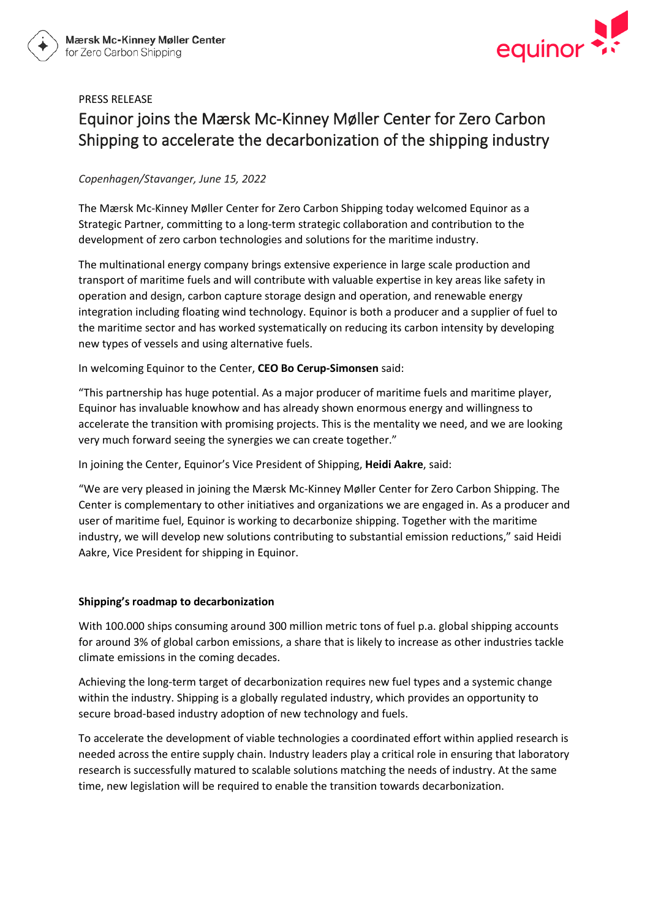

# PRESS RELEASE Equinor joins the Mærsk Mc-Kinney Møller Center for Zero Carbon Shipping to accelerate the decarbonization of the shipping industry

## *Copenhagen/Stavanger, June 15, 2022*

The Mærsk Mc-Kinney Møller Center for Zero Carbon Shipping today welcomed Equinor as a Strategic Partner, committing to a long-term strategic collaboration and contribution to the development of zero carbon technologies and solutions for the maritime industry.

The multinational energy company brings extensive experience in large scale production and transport of maritime fuels and will contribute with valuable expertise in key areas like safety in operation and design, carbon capture storage design and operation, and renewable energy integration including floating wind technology. Equinor is both a producer and a supplier of fuel to the maritime sector and has worked systematically on reducing its carbon intensity by developing new types of vessels and using alternative fuels.

In welcoming Equinor to the Center, **CEO Bo Cerup-Simonsen** said:

"This partnership has huge potential. As a major producer of maritime fuels and maritime player, Equinor has invaluable knowhow and has already shown enormous energy and willingness to accelerate the transition with promising projects. This is the mentality we need, and we are looking very much forward seeing the synergies we can create together."

In joining the Center, Equinor's Vice President of Shipping, **Heidi Aakre**, said:

"We are very pleased in joining the Mærsk Mc-Kinney Møller Center for Zero Carbon Shipping. The Center is complementary to other initiatives and organizations we are engaged in. As a producer and user of maritime fuel, Equinor is working to decarbonize shipping. Together with the maritime industry, we will develop new solutions contributing to substantial emission reductions," said Heidi Aakre, Vice President for shipping in Equinor.

### **Shipping's roadmap to decarbonization**

With 100.000 ships consuming around 300 million metric tons of fuel p.a. global shipping accounts for around 3% of global carbon emissions, a share that is likely to increase as other industries tackle climate emissions in the coming decades.

Achieving the long-term target of decarbonization requires new fuel types and a systemic change within the industry. Shipping is a globally regulated industry, which provides an opportunity to secure broad-based industry adoption of new technology and fuels.

To accelerate the development of viable technologies a coordinated effort within applied research is needed across the entire supply chain. Industry leaders play a critical role in ensuring that laboratory research is successfully matured to scalable solutions matching the needs of industry. At the same time, new legislation will be required to enable the transition towards decarbonization.